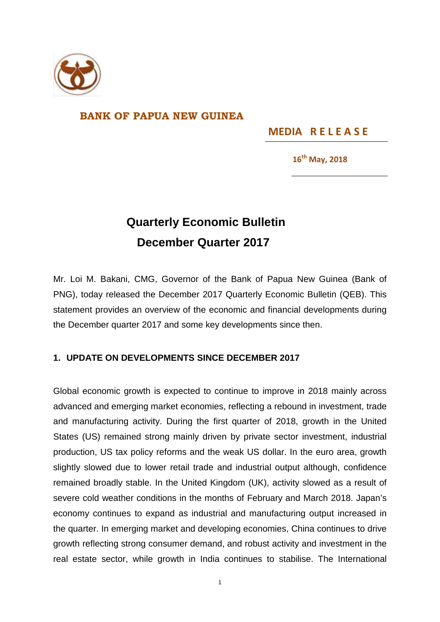

## **BANK OF PAPUA NEW GUINEA**

**MEDIA R E L E A S E** 

**16th May, 2018**

## **Quarterly Economic Bulletin December Quarter 2017**

Mr. Loi M. Bakani, CMG, Governor of the Bank of Papua New Guinea (Bank of PNG), today released the December 2017 Quarterly Economic Bulletin (QEB). This statement provides an overview of the economic and financial developments during the December quarter 2017 and some key developments since then.

## **1. UPDATE ON DEVELOPMENTS SINCE DECEMBER 2017**

Global economic growth is expected to continue to improve in 2018 mainly across advanced and emerging market economies, reflecting a rebound in investment, trade and manufacturing activity. During the first quarter of 2018, growth in the United States (US) remained strong mainly driven by private sector investment, industrial production, US tax policy reforms and the weak US dollar. In the euro area, growth slightly slowed due to lower retail trade and industrial output although, confidence remained broadly stable. In the United Kingdom (UK), activity slowed as a result of severe cold weather conditions in the months of February and March 2018. Japan's economy continues to expand as industrial and manufacturing output increased in the quarter. In emerging market and developing economies, China continues to drive growth reflecting strong consumer demand, and robust activity and investment in the real estate sector, while growth in India continues to stabilise. The International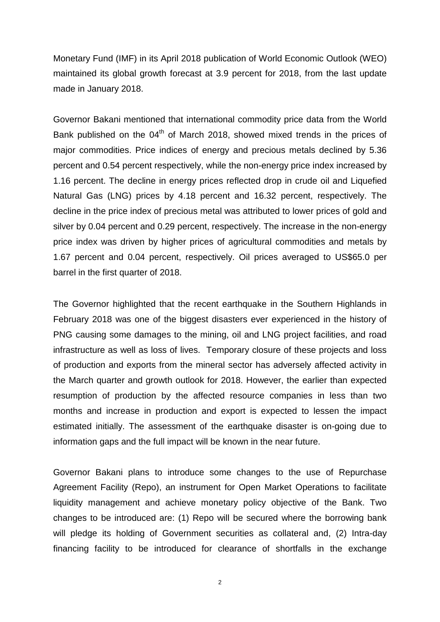Monetary Fund (IMF) in its April 2018 publication of World Economic Outlook (WEO) maintained its global growth forecast at 3.9 percent for 2018, from the last update made in January 2018.

Governor Bakani mentioned that international commodity price data from the World Bank published on the  $04<sup>th</sup>$  of March 2018, showed mixed trends in the prices of major commodities. Price indices of energy and precious metals declined by 5.36 percent and 0.54 percent respectively, while the non-energy price index increased by 1.16 percent. The decline in energy prices reflected drop in crude oil and Liquefied Natural Gas (LNG) prices by 4.18 percent and 16.32 percent, respectively. The decline in the price index of precious metal was attributed to lower prices of gold and silver by 0.04 percent and 0.29 percent, respectively. The increase in the non-energy price index was driven by higher prices of agricultural commodities and metals by 1.67 percent and 0.04 percent, respectively. Oil prices averaged to US\$65.0 per barrel in the first quarter of 2018.

The Governor highlighted that the recent earthquake in the Southern Highlands in February 2018 was one of the biggest disasters ever experienced in the history of PNG causing some damages to the mining, oil and LNG project facilities, and road infrastructure as well as loss of lives. Temporary closure of these projects and loss of production and exports from the mineral sector has adversely affected activity in the March quarter and growth outlook for 2018. However, the earlier than expected resumption of production by the affected resource companies in less than two months and increase in production and export is expected to lessen the impact estimated initially. The assessment of the earthquake disaster is on-going due to information gaps and the full impact will be known in the near future.

Governor Bakani plans to introduce some changes to the use of Repurchase Agreement Facility (Repo), an instrument for Open Market Operations to facilitate liquidity management and achieve monetary policy objective of the Bank. Two changes to be introduced are: (1) Repo will be secured where the borrowing bank will pledge its holding of Government securities as collateral and, (2) Intra-day financing facility to be introduced for clearance of shortfalls in the exchange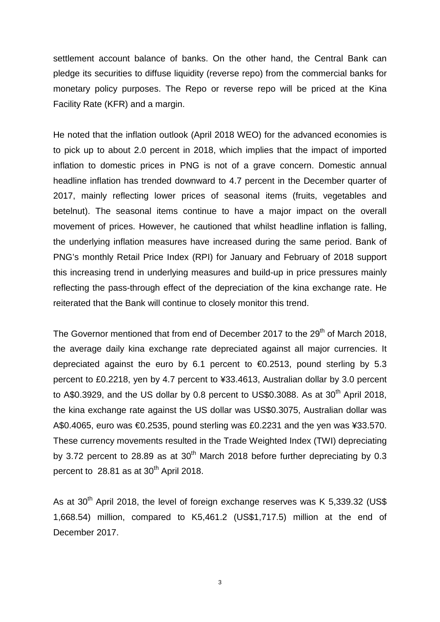settlement account balance of banks. On the other hand, the Central Bank can pledge its securities to diffuse liquidity (reverse repo) from the commercial banks for monetary policy purposes. The Repo or reverse repo will be priced at the Kina Facility Rate (KFR) and a margin.

He noted that the inflation outlook (April 2018 WEO) for the advanced economies is to pick up to about 2.0 percent in 2018, which implies that the impact of imported inflation to domestic prices in PNG is not of a grave concern. Domestic annual headline inflation has trended downward to 4.7 percent in the December quarter of 2017, mainly reflecting lower prices of seasonal items (fruits, vegetables and betelnut). The seasonal items continue to have a major impact on the overall movement of prices. However, he cautioned that whilst headline inflation is falling, the underlying inflation measures have increased during the same period. Bank of PNG's monthly Retail Price Index (RPI) for January and February of 2018 support this increasing trend in underlying measures and build-up in price pressures mainly reflecting the pass-through effect of the depreciation of the kina exchange rate. He reiterated that the Bank will continue to closely monitor this trend.

The Governor mentioned that from end of December 2017 to the 29<sup>th</sup> of March 2018, the average daily kina exchange rate depreciated against all major currencies. It depreciated against the euro by 6.1 percent to  $\bigoplus$  2513, pound sterling by 5.3 percent to £0.2218, yen by 4.7 percent to ¥33.4613, Australian dollar by 3.0 percent to A\$0.3929, and the US dollar by 0.8 percent to US\$0.3088. As at  $30<sup>th</sup>$  April 2018, the kina exchange rate against the US dollar was US\$0.3075, Australian dollar was A\$0.4065, euro was €0.2535, pound sterling was £0.2231 and the yen was ¥33.570. These currency movements resulted in the Trade Weighted Index (TWI) depreciating by 3.72 percent to 28.89 as at  $30<sup>th</sup>$  March 2018 before further depreciating by 0.3 percent to  $28.81$  as at  $30<sup>th</sup>$  April 2018.

As at 30<sup>th</sup> April 2018, the level of foreign exchange reserves was K 5,339.32 (US\$ 1,668.54) million, compared to K5,461.2 (US\$1,717.5) million at the end of December 2017.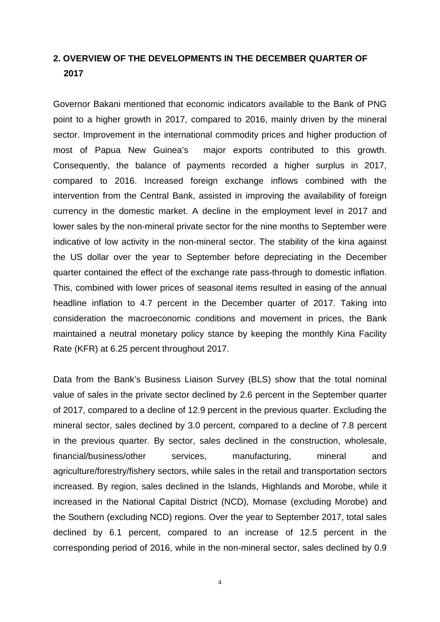## **2. OVERVIEW OF THE DEVELOPMENTS IN THE DECEMBER QUARTER OF 2017**

Governor Bakani mentioned that economic indicators available to the Bank of PNG point to a higher growth in 2017, compared to 2016, mainly driven by the mineral sector. Improvement in the international commodity prices and higher production of most of Papua New Guinea's major exports contributed to this growth. Consequently, the balance of payments recorded a higher surplus in 2017, compared to 2016. Increased foreign exchange inflows combined with the intervention from the Central Bank, assisted in improving the availability of foreign currency in the domestic market. A decline in the employment level in 2017 and lower sales by the non-mineral private sector for the nine months to September were indicative of low activity in the non-mineral sector. The stability of the kina against the US dollar over the year to September before depreciating in the December quarter contained the effect of the exchange rate pass-through to domestic inflation. This, combined with lower prices of seasonal items resulted in easing of the annual headline inflation to 4.7 percent in the December quarter of 2017. Taking into consideration the macroeconomic conditions and movement in prices, the Bank maintained a neutral monetary policy stance by keeping the monthly Kina Facility Rate (KFR) at 6.25 percent throughout 2017.

Data from the Bank's Business Liaison Survey (BLS) show that the total nominal value of sales in the private sector declined by 2.6 percent in the September quarter of 2017, compared to a decline of 12.9 percent in the previous quarter. Excluding the mineral sector, sales declined by 3.0 percent, compared to a decline of 7.8 percent in the previous quarter. By sector, sales declined in the construction, wholesale, financial/business/other services, manufacturing, mineral and agriculture/forestry/fishery sectors, while sales in the retail and transportation sectors increased. By region, sales declined in the Islands, Highlands and Morobe, while it increased in the National Capital District (NCD), Momase (excluding Morobe) and the Southern (excluding NCD) regions. Over the year to September 2017, total sales declined by 6.1 percent, compared to an increase of 12.5 percent in the corresponding period of 2016, while in the non-mineral sector, sales declined by 0.9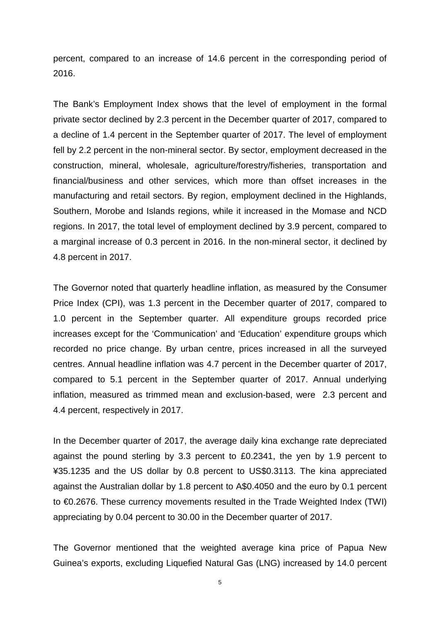percent, compared to an increase of 14.6 percent in the corresponding period of 2016.

The Bank's Employment Index shows that the level of employment in the formal private sector declined by 2.3 percent in the December quarter of 2017, compared to a decline of 1.4 percent in the September quarter of 2017. The level of employment fell by 2.2 percent in the non-mineral sector. By sector, employment decreased in the construction, mineral, wholesale, agriculture/forestry/fisheries, transportation and financial/business and other services, which more than offset increases in the manufacturing and retail sectors. By region, employment declined in the Highlands, Southern, Morobe and Islands regions, while it increased in the Momase and NCD regions. In 2017, the total level of employment declined by 3.9 percent, compared to a marginal increase of 0.3 percent in 2016. In the non-mineral sector, it declined by 4.8 percent in 2017.

The Governor noted that quarterly headline inflation, as measured by the Consumer Price Index (CPI), was 1.3 percent in the December quarter of 2017, compared to 1.0 percent in the September quarter. All expenditure groups recorded price increases except for the 'Communication' and 'Education' expenditure groups which recorded no price change. By urban centre, prices increased in all the surveyed centres. Annual headline inflation was 4.7 percent in the December quarter of 2017, compared to 5.1 percent in the September quarter of 2017. Annual underlying inflation, measured as trimmed mean and exclusion-based, were 2.3 percent and 4.4 percent, respectively in 2017.

In the December quarter of 2017, the average daily kina exchange rate depreciated against the pound sterling by 3.3 percent to £0.2341, the yen by 1.9 percent to ¥35.1235 and the US dollar by 0.8 percent to US\$0.3113. The kina appreciated against the Australian dollar by 1.8 percent to A\$0.4050 and the euro by 0.1 percent to €0.2676. These currency movements resulted in the Trade Weighted Index (TWI) appreciating by 0.04 percent to 30.00 in the December quarter of 2017.

The Governor mentioned that the weighted average kina price of Papua New Guinea's exports, excluding Liquefied Natural Gas (LNG) increased by 14.0 percent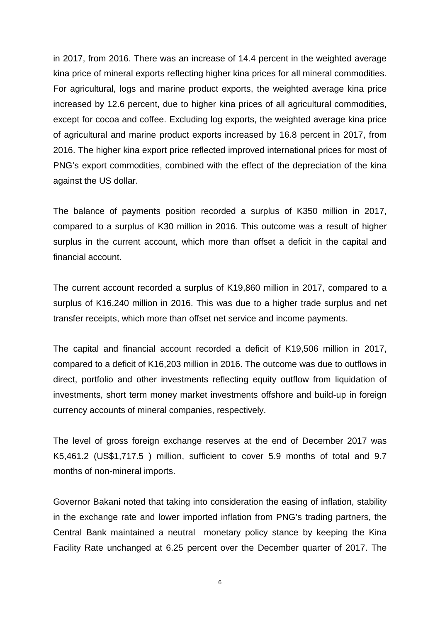in 2017, from 2016. There was an increase of 14.4 percent in the weighted average kina price of mineral exports reflecting higher kina prices for all mineral commodities. For agricultural, logs and marine product exports, the weighted average kina price increased by 12.6 percent, due to higher kina prices of all agricultural commodities, except for cocoa and coffee. Excluding log exports, the weighted average kina price of agricultural and marine product exports increased by 16.8 percent in 2017, from 2016. The higher kina export price reflected improved international prices for most of PNG's export commodities, combined with the effect of the depreciation of the kina against the US dollar.

The balance of payments position recorded a surplus of K350 million in 2017, compared to a surplus of K30 million in 2016. This outcome was a result of higher surplus in the current account, which more than offset a deficit in the capital and financial account.

The current account recorded a surplus of K19,860 million in 2017, compared to a surplus of K16,240 million in 2016. This was due to a higher trade surplus and net transfer receipts, which more than offset net service and income payments.

The capital and financial account recorded a deficit of K19,506 million in 2017, compared to a deficit of K16,203 million in 2016. The outcome was due to outflows in direct, portfolio and other investments reflecting equity outflow from liquidation of investments, short term money market investments offshore and build-up in foreign currency accounts of mineral companies, respectively.

The level of gross foreign exchange reserves at the end of December 2017 was K5,461.2 (US\$1,717.5 ) million, sufficient to cover 5.9 months of total and 9.7 months of non-mineral imports.

Governor Bakani noted that taking into consideration the easing of inflation, stability in the exchange rate and lower imported inflation from PNG's trading partners, the Central Bank maintained a neutral monetary policy stance by keeping the Kina Facility Rate unchanged at 6.25 percent over the December quarter of 2017. The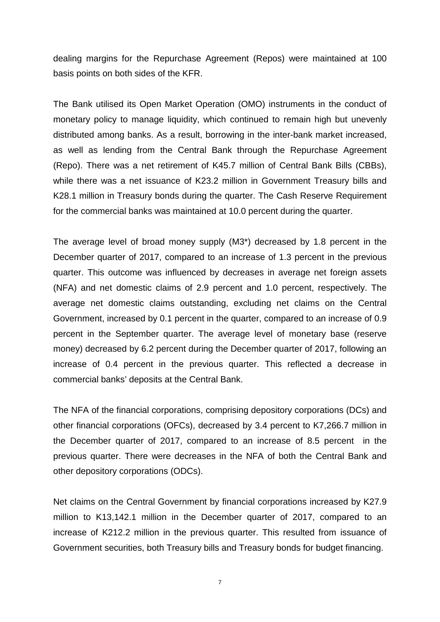dealing margins for the Repurchase Agreement (Repos) were maintained at 100 basis points on both sides of the KFR.

The Bank utilised its Open Market Operation (OMO) instruments in the conduct of monetary policy to manage liquidity, which continued to remain high but unevenly distributed among banks. As a result, borrowing in the inter-bank market increased, as well as lending from the Central Bank through the Repurchase Agreement (Repo). There was a net retirement of K45.7 million of Central Bank Bills (CBBs), while there was a net issuance of K23.2 million in Government Treasury bills and K28.1 million in Treasury bonds during the quarter. The Cash Reserve Requirement for the commercial banks was maintained at 10.0 percent during the quarter.

The average level of broad money supply (M3\*) decreased by 1.8 percent in the December quarter of 2017, compared to an increase of 1.3 percent in the previous quarter. This outcome was influenced by decreases in average net foreign assets (NFA) and net domestic claims of 2.9 percent and 1.0 percent, respectively. The average net domestic claims outstanding, excluding net claims on the Central Government, increased by 0.1 percent in the quarter, compared to an increase of 0.9 percent in the September quarter. The average level of monetary base (reserve money) decreased by 6.2 percent during the December quarter of 2017, following an increase of 0.4 percent in the previous quarter. This reflected a decrease in commercial banks' deposits at the Central Bank.

The NFA of the financial corporations, comprising depository corporations (DCs) and other financial corporations (OFCs), decreased by 3.4 percent to K7,266.7 million in the December quarter of 2017, compared to an increase of 8.5 percent in the previous quarter. There were decreases in the NFA of both the Central Bank and other depository corporations (ODCs).

Net claims on the Central Government by financial corporations increased by K27.9 million to K13,142.1 million in the December quarter of 2017, compared to an increase of K212.2 million in the previous quarter. This resulted from issuance of Government securities, both Treasury bills and Treasury bonds for budget financing.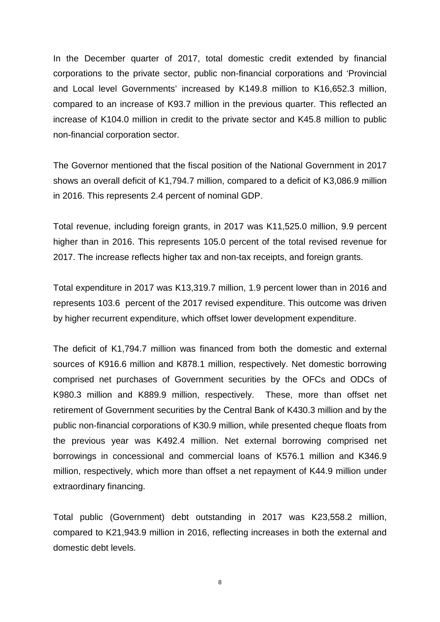In the December quarter of 2017, total domestic credit extended by financial corporations to the private sector, public non-financial corporations and 'Provincial and Local level Governments' increased by K149.8 million to K16,652.3 million, compared to an increase of K93.7 million in the previous quarter. This reflected an increase of K104.0 million in credit to the private sector and K45.8 million to public non-financial corporation sector.

The Governor mentioned that the fiscal position of the National Government in 2017 shows an overall deficit of K1,794.7 million, compared to a deficit of K3,086.9 million in 2016. This represents 2.4 percent of nominal GDP.

Total revenue, including foreign grants, in 2017 was K11,525.0 million, 9.9 percent higher than in 2016. This represents 105.0 percent of the total revised revenue for 2017. The increase reflects higher tax and non-tax receipts, and foreign grants.

Total expenditure in 2017 was K13,319.7 million, 1.9 percent lower than in 2016 and represents 103.6 percent of the 2017 revised expenditure. This outcome was driven by higher recurrent expenditure, which offset lower development expenditure.

The deficit of K1,794.7 million was financed from both the domestic and external sources of K916.6 million and K878.1 million, respectively. Net domestic borrowing comprised net purchases of Government securities by the OFCs and ODCs of K980.3 million and K889.9 million, respectively. These, more than offset net retirement of Government securities by the Central Bank of K430.3 million and by the public non-financial corporations of K30.9 million, while presented cheque floats from the previous year was K492.4 million. Net external borrowing comprised net borrowings in concessional and commercial loans of K576.1 million and K346.9 million, respectively, which more than offset a net repayment of K44.9 million under extraordinary financing.

Total public (Government) debt outstanding in 2017 was K23,558.2 million, compared to K21,943.9 million in 2016, reflecting increases in both the external and domestic debt levels.